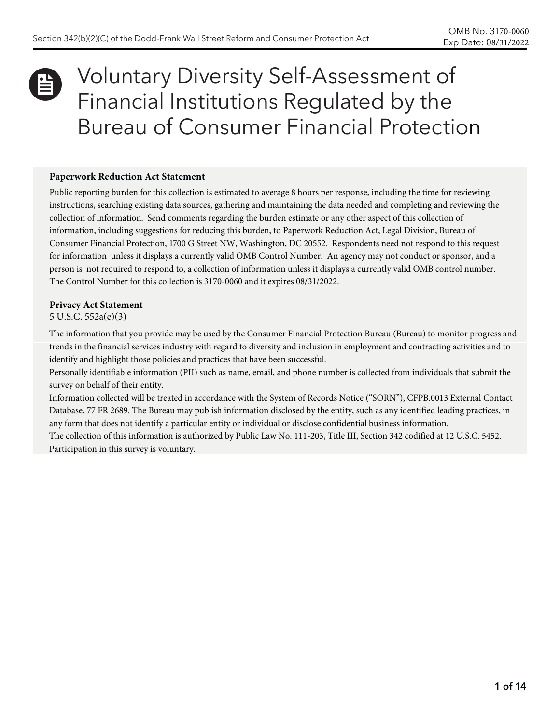# Voluntary Diversity Self-Assessment of Financial Institutions Regulated by the Bureau of Consumer Financial Protection Û

#### **Paperwork Reduction Act Statement**

Public reporting burden for this collection is estimated to average 8 hours per response, including the time for reviewing instructions, searching existing data sources, gathering and maintaining the data needed and completing and reviewing the collection of information. Send comments regarding the burden estimate or any other aspect of this collection of information, including suggestions for reducing this burden, to Paperwork Reduction Act, Legal Division, Bureau of Consumer Financial Protection, 1700 G Street NW, Washington, DC 20552. Respondents need not respond to this request for information unless it displays a currently valid OMB Control Number. An agency may not conduct or sponsor, and a person is not required to respond to, a collection of information unless it displays a currently valid OMB control number. The Control Number for this collection is 3170-0060 and it expires 08/31/2022.

#### **Privacy Act Statement**

#### 5 U.S.C. 552a(e)(3)

The information that you provide may be used by the Consumer Financial Protection Bureau (Bureau) to monitor progress and trends in the financial services industry with regard to diversity and inclusion in employment and contracting activities and to identify and highlight those policies and practices that have been successful.

Personally identifiable information (PII) such as name, email, and phone number is collected from individuals that submit the survey on behalf of their entity.

Information collected will be treated in accordance with the System of Records Notice ("SORN"), CFPB.0013 External Contact Database, 77 FR 2689. The Bureau may publish information disclosed by the entity, such as any identified leading practices, in any form that does not identify a particular entity or individual or disclose confidential business information.

The collection of this information is authorized by Public Law No. 111-203, Title III, Section 342 codified at 12 U.S.C. 5452. Participation in this survey is voluntary.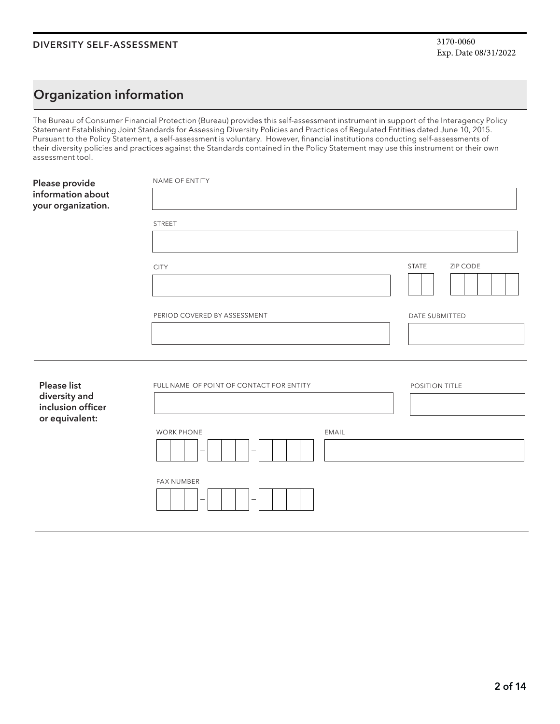## **Organization information**

The Bureau of Consumer Financial Protection (Bureau) provides this self-assessment instrument in support of the Interagency Policy Statement Establishing Joint Standards for Assessing Diversity Policies and Practices of Regulated Entities dated June 10, 2015. Pursuant to the Policy Statement, a self-assessment is voluntary. However, financial institutions conducting self-assessments of their diversity policies and practices against the Standards contained in the Policy Statement may use this instrument or their own assessment tool.

| Please provide<br>information about<br>your organization.                  | NAME OF ENTITY                           |                          |
|----------------------------------------------------------------------------|------------------------------------------|--------------------------|
|                                                                            | <b>STREET</b>                            |                          |
|                                                                            | <b>CITY</b>                              | <b>STATE</b><br>ZIP CODE |
|                                                                            | PERIOD COVERED BY ASSESSMENT             | DATE SUBMITTED           |
|                                                                            |                                          |                          |
| <b>Please list</b><br>diversity and<br>inclusion officer<br>or equivalent: | FULL NAME OF POINT OF CONTACT FOR ENTITY | POSITION TITLE           |
|                                                                            | <b>WORK PHONE</b><br>EMAIL               |                          |
|                                                                            | <b>FAX NUMBER</b>                        |                          |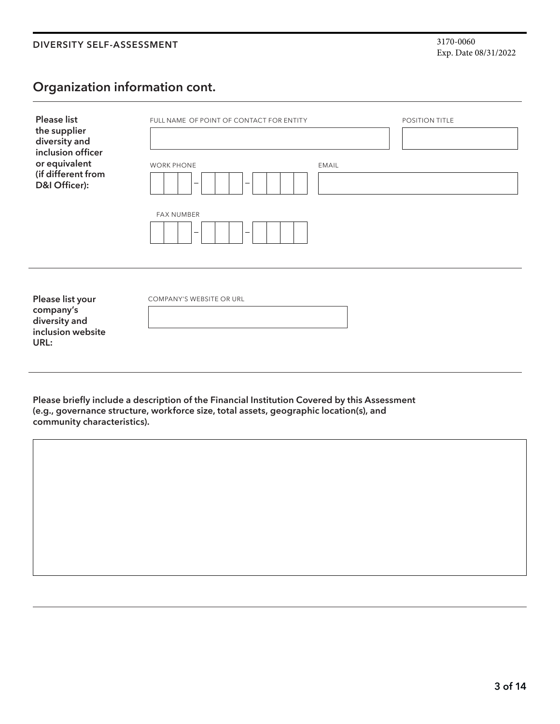## **Organization information cont.**

| <b>Please list</b><br>the supplier<br>diversity and<br>inclusion officer    | FULL NAME OF POINT OF CONTACT FOR ENTITY | POSITION TITLE |  |
|-----------------------------------------------------------------------------|------------------------------------------|----------------|--|
| or equivalent<br>(if different from<br>D&I Officer):                        | <b>WORK PHONE</b><br>-<br>-              | <b>EMAIL</b>   |  |
|                                                                             | <b>FAX NUMBER</b><br>$\qquad \qquad$     |                |  |
| Please list your<br>company's<br>diversity and<br>inclusion website<br>URL: | COMPANY'S WEBSITE OR URL                 |                |  |

**Please briefly include a description of the Financial Institution Covered by this Assessment (e.g., governance structure, workforce size, total assets, geographic location(s), and community characteristics).**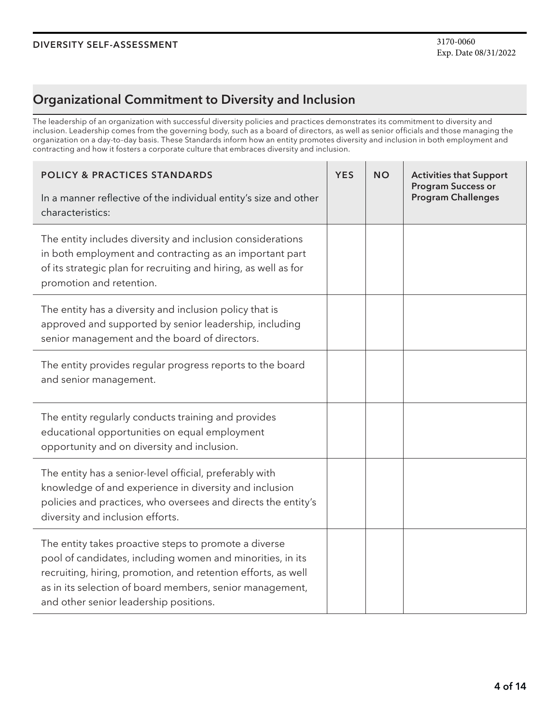## **Organizational Commitment to Diversity and Inclusion**

The leadership of an organization with successful diversity policies and practices demonstrates its commitment to diversity and inclusion. Leadership comes from the governing body, such as a board of directors, as well as senior officials and those managing the organization on a day-to-day basis. These Standards inform how an entity promotes diversity and inclusion in both employment and contracting and how it fosters a corporate culture that embraces diversity and inclusion.

| <b>POLICY &amp; PRACTICES STANDARDS</b>                                                                                                                                                                                                                                                    | <b>YES</b> | <b>NO</b> | <b>Activities that Support</b><br><b>Program Success or</b> |
|--------------------------------------------------------------------------------------------------------------------------------------------------------------------------------------------------------------------------------------------------------------------------------------------|------------|-----------|-------------------------------------------------------------|
| In a manner reflective of the individual entity's size and other<br>characteristics:                                                                                                                                                                                                       |            |           | <b>Program Challenges</b>                                   |
| The entity includes diversity and inclusion considerations<br>in both employment and contracting as an important part<br>of its strategic plan for recruiting and hiring, as well as for<br>promotion and retention.                                                                       |            |           |                                                             |
| The entity has a diversity and inclusion policy that is<br>approved and supported by senior leadership, including<br>senior management and the board of directors.                                                                                                                         |            |           |                                                             |
| The entity provides regular progress reports to the board<br>and senior management.                                                                                                                                                                                                        |            |           |                                                             |
| The entity regularly conducts training and provides<br>educational opportunities on equal employment<br>opportunity and on diversity and inclusion.                                                                                                                                        |            |           |                                                             |
| The entity has a senior-level official, preferably with<br>knowledge of and experience in diversity and inclusion<br>policies and practices, who oversees and directs the entity's<br>diversity and inclusion efforts.                                                                     |            |           |                                                             |
| The entity takes proactive steps to promote a diverse<br>pool of candidates, including women and minorities, in its<br>recruiting, hiring, promotion, and retention efforts, as well<br>as in its selection of board members, senior management,<br>and other senior leadership positions. |            |           |                                                             |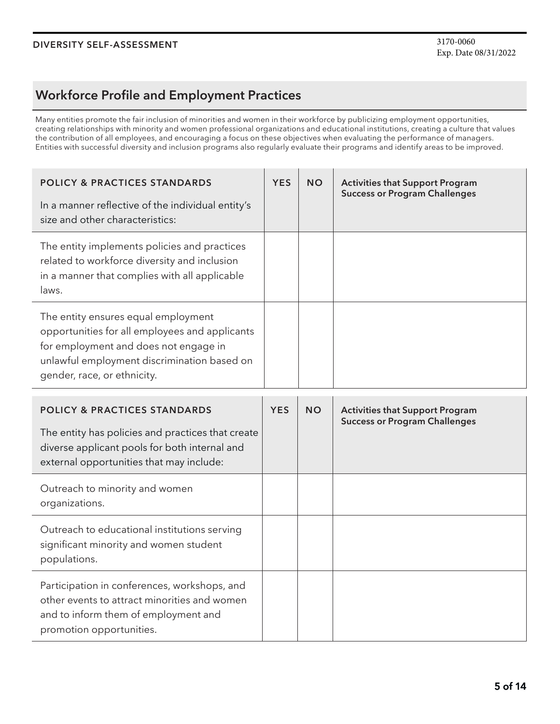## **Workforce Profile and Employment Practices**

Many entities promote the fair inclusion of minorities and women in their workforce by publicizing employment opportunities, creating relationships with minority and women professional organizations and educational institutions, creating a culture that values the contribution of all employees, and encouraging a focus on these objectives when evaluating the performance of managers. Entities with successful diversity and inclusion programs also regularly evaluate their programs and identify areas to be improved.

| <b>POLICY &amp; PRACTICES STANDARDS</b><br>In a manner reflective of the individual entity's<br>size and other characteristics:                                                                              | <b>YES</b> | <b>NO</b> | <b>Activities that Support Program</b><br><b>Success or Program Challenges</b> |
|--------------------------------------------------------------------------------------------------------------------------------------------------------------------------------------------------------------|------------|-----------|--------------------------------------------------------------------------------|
| The entity implements policies and practices<br>related to workforce diversity and inclusion<br>in a manner that complies with all applicable<br>laws.                                                       |            |           |                                                                                |
| The entity ensures equal employment<br>opportunities for all employees and applicants<br>for employment and does not engage in<br>unlawful employment discrimination based on<br>gender, race, or ethnicity. |            |           |                                                                                |

| <b>POLICY &amp; PRACTICES STANDARDS</b><br>The entity has policies and practices that create<br>diverse applicant pools for both internal and<br>external opportunities that may include: | <b>YES</b> | <b>NO</b> | <b>Activities that Support Program</b><br><b>Success or Program Challenges</b> |
|-------------------------------------------------------------------------------------------------------------------------------------------------------------------------------------------|------------|-----------|--------------------------------------------------------------------------------|
| Outreach to minority and women<br>organizations.                                                                                                                                          |            |           |                                                                                |
| Outreach to educational institutions serving<br>significant minority and women student<br>populations.                                                                                    |            |           |                                                                                |
| Participation in conferences, workshops, and<br>other events to attract minorities and women<br>and to inform them of employment and<br>promotion opportunities.                          |            |           |                                                                                |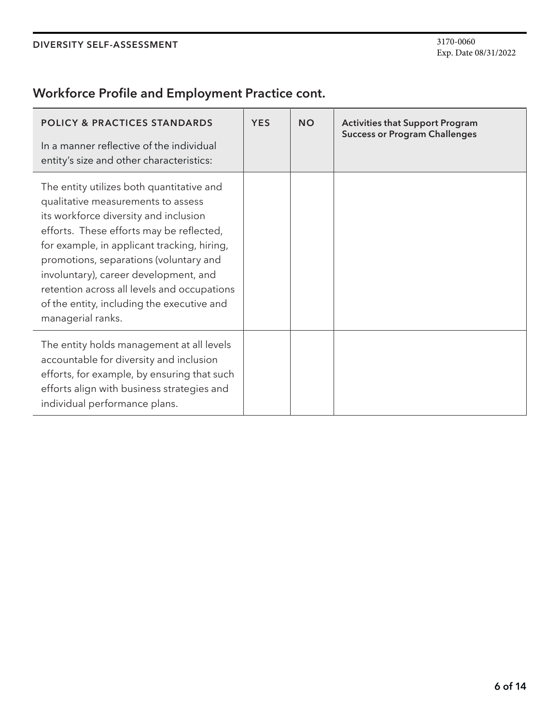## **Workforce Profile and Employment Practice cont.**

| <b>POLICY &amp; PRACTICES STANDARDS</b><br>In a manner reflective of the individual<br>entity's size and other characteristics:                                                                                                                                                                                                                                                                                          | <b>YES</b> | <b>NO</b> | <b>Activities that Support Program</b><br><b>Success or Program Challenges</b> |
|--------------------------------------------------------------------------------------------------------------------------------------------------------------------------------------------------------------------------------------------------------------------------------------------------------------------------------------------------------------------------------------------------------------------------|------------|-----------|--------------------------------------------------------------------------------|
| The entity utilizes both quantitative and<br>qualitative measurements to assess<br>its workforce diversity and inclusion<br>efforts. These efforts may be reflected,<br>for example, in applicant tracking, hiring,<br>promotions, separations (voluntary and<br>involuntary), career development, and<br>retention across all levels and occupations<br>of the entity, including the executive and<br>managerial ranks. |            |           |                                                                                |
| The entity holds management at all levels<br>accountable for diversity and inclusion<br>efforts, for example, by ensuring that such<br>efforts align with business strategies and<br>individual performance plans.                                                                                                                                                                                                       |            |           |                                                                                |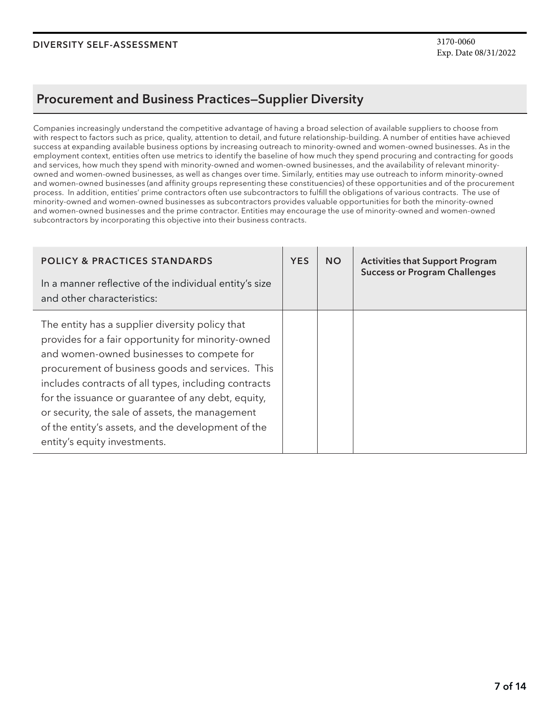### **Procurement and Business Practices—Supplier Diversity**

Companies increasingly understand the competitive advantage of having a broad selection of available suppliers to choose from with respect to factors such as price, quality, attention to detail, and future relationship-building. A number of entities have achieved success at expanding available business options by increasing outreach to minority-owned and women-owned businesses. As in the employment context, entities often use metrics to identify the baseline of how much they spend procuring and contracting for goods and services, how much they spend with minority-owned and women-owned businesses, and the availability of relevant minorityowned and women-owned businesses, as well as changes over time. Similarly, entities may use outreach to inform minority-owned and women-owned businesses (and affinity groups representing these constituencies) of these opportunities and of the procurement process. In addition, entities' prime contractors often use subcontractors to fulfill the obligations of various contracts. The use of minority-owned and women-owned businesses as subcontractors provides valuable opportunities for both the minority-owned and women-owned businesses and the prime contractor. Entities may encourage the use of minority-owned and women-owned subcontractors by incorporating this objective into their business contracts.

| <b>POLICY &amp; PRACTICES STANDARDS</b>                                                                                                                                                                                                                                                                                                                                                                                                                       | <b>YES</b> | <b>NO</b> | <b>Activities that Support Program</b><br><b>Success or Program Challenges</b> |
|---------------------------------------------------------------------------------------------------------------------------------------------------------------------------------------------------------------------------------------------------------------------------------------------------------------------------------------------------------------------------------------------------------------------------------------------------------------|------------|-----------|--------------------------------------------------------------------------------|
| In a manner reflective of the individual entity's size<br>and other characteristics:                                                                                                                                                                                                                                                                                                                                                                          |            |           |                                                                                |
| The entity has a supplier diversity policy that<br>provides for a fair opportunity for minority-owned<br>and women-owned businesses to compete for<br>procurement of business goods and services. This<br>includes contracts of all types, including contracts<br>for the issuance or guarantee of any debt, equity,<br>or security, the sale of assets, the management<br>of the entity's assets, and the development of the<br>entity's equity investments. |            |           |                                                                                |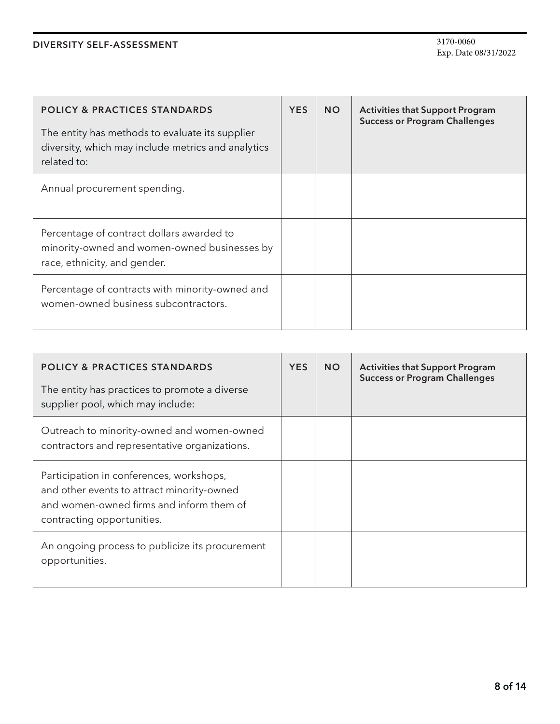| <b>POLICY &amp; PRACTICES STANDARDS</b><br>The entity has methods to evaluate its supplier<br>diversity, which may include metrics and analytics<br>related to: | <b>YES</b> | <b>NO</b> | <b>Activities that Support Program</b><br><b>Success or Program Challenges</b> |
|-----------------------------------------------------------------------------------------------------------------------------------------------------------------|------------|-----------|--------------------------------------------------------------------------------|
| Annual procurement spending.                                                                                                                                    |            |           |                                                                                |
| Percentage of contract dollars awarded to<br>minority-owned and women-owned businesses by<br>race, ethnicity, and gender.                                       |            |           |                                                                                |
| Percentage of contracts with minority-owned and<br>women-owned business subcontractors.                                                                         |            |           |                                                                                |

| <b>POLICY &amp; PRACTICES STANDARDS</b><br>The entity has practices to promote a diverse<br>supplier pool, which may include:                                    | <b>YES</b> | <b>NO</b> | <b>Activities that Support Program</b><br><b>Success or Program Challenges</b> |
|------------------------------------------------------------------------------------------------------------------------------------------------------------------|------------|-----------|--------------------------------------------------------------------------------|
| Outreach to minority-owned and women-owned<br>contractors and representative organizations.                                                                      |            |           |                                                                                |
| Participation in conferences, workshops,<br>and other events to attract minority-owned<br>and women-owned firms and inform them of<br>contracting opportunities. |            |           |                                                                                |
| An ongoing process to publicize its procurement<br>opportunities.                                                                                                |            |           |                                                                                |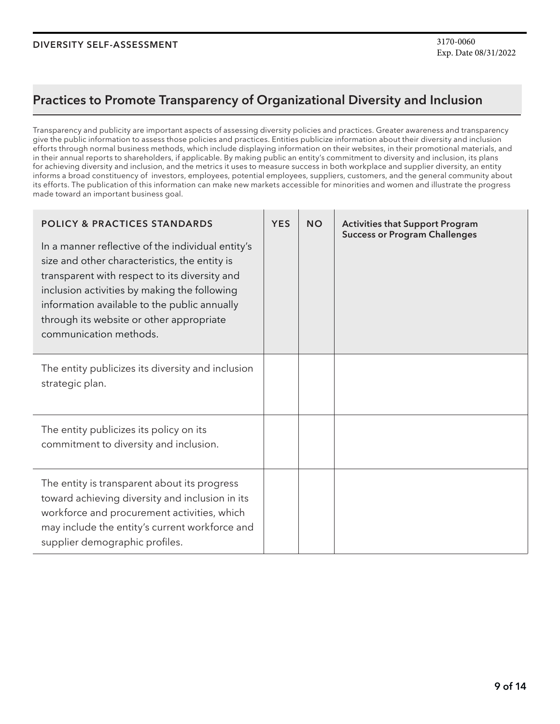### **Practices to Promote Transparency of Organizational Diversity and Inclusion**

Transparency and publicity are important aspects of assessing diversity policies and practices. Greater awareness and transparency give the public information to assess those policies and practices. Entities publicize information about their diversity and inclusion efforts through normal business methods, which include displaying information on their websites, in their promotional materials, and in their annual reports to shareholders, if applicable. By making public an entity's commitment to diversity and inclusion, its plans for achieving diversity and inclusion, and the metrics it uses to measure success in both workplace and supplier diversity, an entity informs a broad constituency of investors, employees, potential employees, suppliers, customers, and the general community about its efforts. The publication of this information can make new markets accessible for minorities and women and illustrate the progress made toward an important business goal.

| <b>POLICY &amp; PRACTICES STANDARDS</b><br>In a manner reflective of the individual entity's<br>size and other characteristics, the entity is<br>transparent with respect to its diversity and<br>inclusion activities by making the following<br>information available to the public annually<br>through its website or other appropriate<br>communication methods. | <b>YES</b> | <b>NO</b> | <b>Activities that Support Program</b><br><b>Success or Program Challenges</b> |
|----------------------------------------------------------------------------------------------------------------------------------------------------------------------------------------------------------------------------------------------------------------------------------------------------------------------------------------------------------------------|------------|-----------|--------------------------------------------------------------------------------|
| The entity publicizes its diversity and inclusion<br>strategic plan.                                                                                                                                                                                                                                                                                                 |            |           |                                                                                |
| The entity publicizes its policy on its<br>commitment to diversity and inclusion.                                                                                                                                                                                                                                                                                    |            |           |                                                                                |
| The entity is transparent about its progress<br>toward achieving diversity and inclusion in its<br>workforce and procurement activities, which<br>may include the entity's current workforce and<br>supplier demographic profiles.                                                                                                                                   |            |           |                                                                                |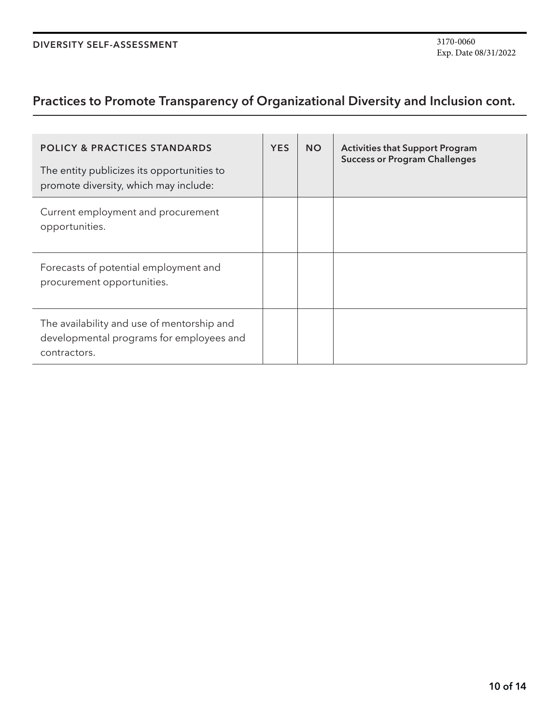# **Practices to Promote Transparency of Organizational Diversity and Inclusion cont.**

| <b>POLICY &amp; PRACTICES STANDARDS</b><br>The entity publicizes its opportunities to<br>promote diversity, which may include: | <b>YES</b> | <b>NO</b> | <b>Activities that Support Program</b><br><b>Success or Program Challenges</b> |
|--------------------------------------------------------------------------------------------------------------------------------|------------|-----------|--------------------------------------------------------------------------------|
| Current employment and procurement<br>opportunities.                                                                           |            |           |                                                                                |
| Forecasts of potential employment and<br>procurement opportunities.                                                            |            |           |                                                                                |
| The availability and use of mentorship and<br>developmental programs for employees and<br>contractors.                         |            |           |                                                                                |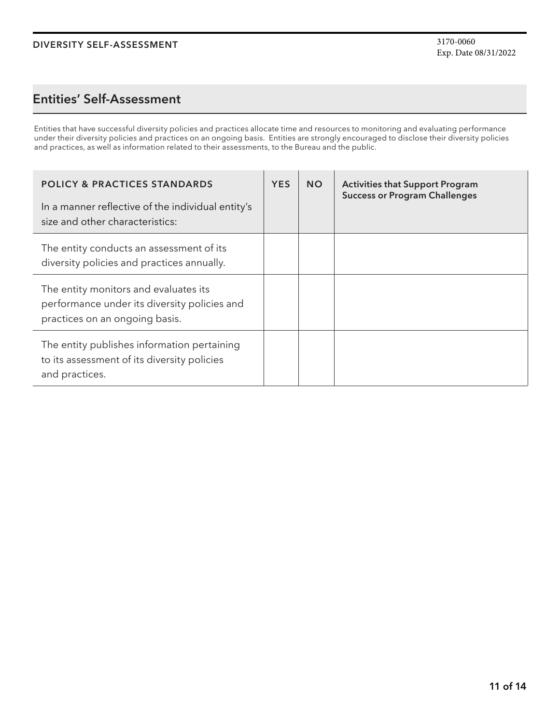### **Entities' Self-Assessment**

Entities that have successful diversity policies and practices allocate time and resources to monitoring and evaluating performance under their diversity policies and practices on an ongoing basis. Entities are strongly encouraged to disclose their diversity policies and practices, as well as information related to their assessments, to the Bureau and the public.

| <b>POLICY &amp; PRACTICES STANDARDS</b><br>In a manner reflective of the individual entity's<br>size and other characteristics: | <b>YES</b> | <b>NO</b> | <b>Activities that Support Program</b><br><b>Success or Program Challenges</b> |
|---------------------------------------------------------------------------------------------------------------------------------|------------|-----------|--------------------------------------------------------------------------------|
| The entity conducts an assessment of its<br>diversity policies and practices annually.                                          |            |           |                                                                                |
| The entity monitors and evaluates its<br>performance under its diversity policies and<br>practices on an ongoing basis.         |            |           |                                                                                |
| The entity publishes information pertaining<br>to its assessment of its diversity policies<br>and practices.                    |            |           |                                                                                |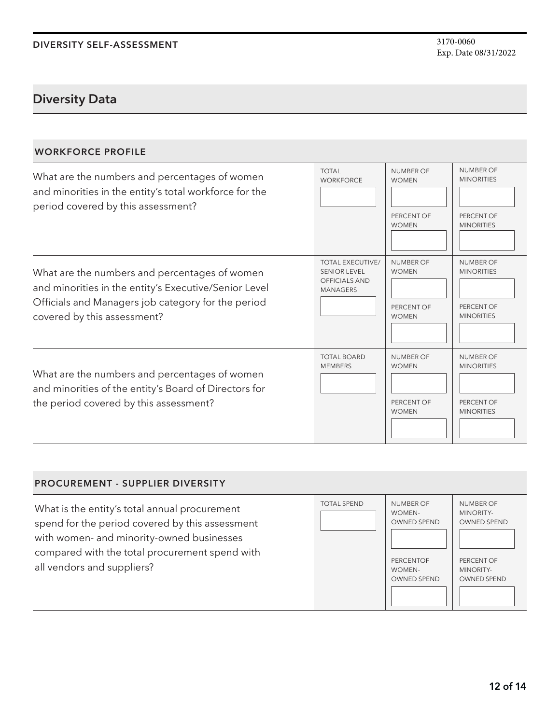### **Diversity Data**

### **WORKFORCE PROFILE**

| What are the numbers and percentages of women<br>and minorities in the entity's total workforce for the<br>period covered by this assessment?                                               | <b>TOTAL</b><br><b>WORKFORCE</b>                                                          | <b>NUMBER OF</b><br><b>WOMEN</b><br>PERCENT OF<br><b>WOMEN</b> | <b>NUMBER OF</b><br><b>MINORITIES</b><br>PERCENT OF<br><b>MINORITIES</b> |
|---------------------------------------------------------------------------------------------------------------------------------------------------------------------------------------------|-------------------------------------------------------------------------------------------|----------------------------------------------------------------|--------------------------------------------------------------------------|
| What are the numbers and percentages of women<br>and minorities in the entity's Executive/Senior Level<br>Officials and Managers job category for the period<br>covered by this assessment? | <b>TOTAL EXECUTIVE/</b><br><b>SENIOR LEVEL</b><br><b>OFFICIALS AND</b><br><b>MANAGERS</b> | NUMBER OF<br><b>WOMEN</b><br>PERCENT OF<br><b>WOMEN</b>        | NUMBER OF<br><b>MINORITIES</b><br>PERCENT OF<br><b>MINORITIES</b>        |
| What are the numbers and percentages of women<br>and minorities of the entity's Board of Directors for<br>the period covered by this assessment?                                            | <b>TOTAL BOARD</b><br><b>MEMBERS</b>                                                      | <b>NUMBER OF</b><br><b>WOMEN</b><br>PERCENT OF<br><b>WOMEN</b> | <b>NUMBER OF</b><br><b>MINORITIES</b><br>PERCENT OF<br><b>MINORITIES</b> |

#### **PROCUREMENT - SUPPLIER DIVERSITY** What is the entity's total annual procurement spend for the period covered by this assessment with women- and minority-owned businesses compared with the total procurement spend with all vendors and suppliers? NUMBER OF WOMEN-OWNED SPEND PERCENTOF WOMEN-OWNED SPEND NUMBER OF MINORITY-OWNED SPEND PERCENT OF MINORITY-OWNED SPEND